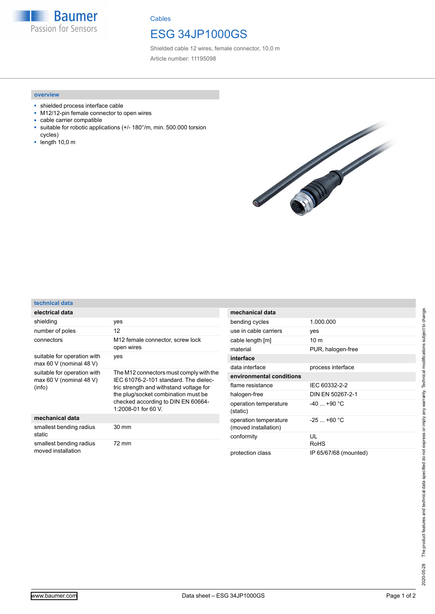

**Cables** 

## ESG 34JP1000GS

Shielded cable 12 wires, female connector, 10,0 m Article number: 11195098

## **overview**

- shielded process interface cable
- M12/12-pin female connector to open wires
- cable carrier compatible
- suitable for robotic applications (+/- 180°/m, min. 500.000 torsion cycles)
- length 10,0 m



| technical data                                                   |                                                                                                                                                                                                                                 |
|------------------------------------------------------------------|---------------------------------------------------------------------------------------------------------------------------------------------------------------------------------------------------------------------------------|
| electrical data                                                  |                                                                                                                                                                                                                                 |
| shielding                                                        | yes                                                                                                                                                                                                                             |
| number of poles                                                  | 12                                                                                                                                                                                                                              |
| connectors                                                       | M12 female connector, screw lock<br>open wires                                                                                                                                                                                  |
| suitable for operation with<br>max 60 V (nominal 48 V)           | yes                                                                                                                                                                                                                             |
| suitable for operation with<br>max 60 V (nominal 48 V)<br>(info) | The M12 connectors must comply with the<br>IEC 61076-2-101 standard. The dielec-<br>tric strength and withstand voltage for<br>the plug/socket combination must be<br>checked according to DIN EN 60664-<br>1:2008-01 for 60 V. |
| mechanical data                                                  |                                                                                                                                                                                                                                 |
| smallest bending radius<br>static                                | 30 mm                                                                                                                                                                                                                           |
| smallest bending radius<br>moved installation                    | 72 mm                                                                                                                                                                                                                           |

| mechanical data                               |                       |  |  |
|-----------------------------------------------|-----------------------|--|--|
| bending cycles                                | 1.000.000             |  |  |
| use in cable carriers                         | yes                   |  |  |
| cable length [m]                              | 10 <sub>m</sub>       |  |  |
| material                                      | PUR, halogen-free     |  |  |
| interface                                     |                       |  |  |
| data interface                                | process interface     |  |  |
| environmental conditions                      |                       |  |  |
| flame resistance                              | IFC 60332-2-2         |  |  |
| halogen-free                                  | DIN EN 50267-2-1      |  |  |
| operation temperature<br>(static)             | $-40 + 90$ °C         |  |  |
| operation temperature<br>(moved installation) | $-25 + 60 °C$         |  |  |
| conformity                                    | UL<br>RoHS            |  |  |
| protection class                              | IP 65/67/68 (mounted) |  |  |